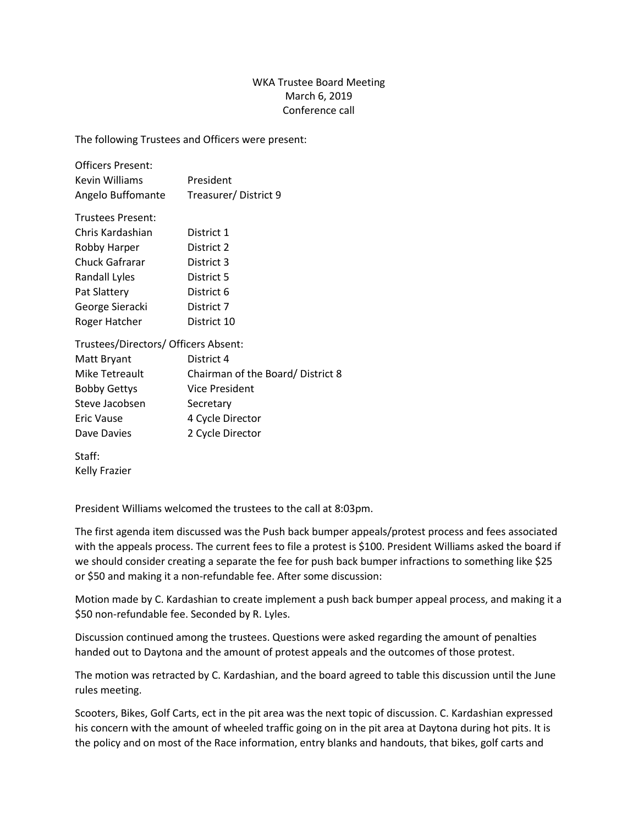## WKA Trustee Board Meeting March 6, 2019 Conference call

The following Trustees and Officers were present:

| <b>Officers Present:</b> |                      |
|--------------------------|----------------------|
| Kevin Williams           | President            |
| Angelo Buffomante        | Treasurer/District 9 |

| <b>Trustees Present:</b> |             |
|--------------------------|-------------|
| Chris Kardashian         | District 1  |
| Robby Harper             | District 2  |
| Chuck Gafrarar           | District 3  |
| Randall Lyles            | District 5  |
| Pat Slattery             | District 6  |
| George Sieracki          | District 7  |
| Roger Hatcher            | District 10 |

Trustees/Directors/ Officers Absent:

| Matt Bryant         | District 4                       |
|---------------------|----------------------------------|
| Mike Tetreault      | Chairman of the Board/District 8 |
| <b>Bobby Gettys</b> | <b>Vice President</b>            |
| Steve Jacobsen      | Secretary                        |
| Eric Vause          | 4 Cycle Director                 |
| Dave Davies         | 2 Cycle Director                 |

Staff: Kelly Frazier

President Williams welcomed the trustees to the call at 8:03pm.

The first agenda item discussed was the Push back bumper appeals/protest process and fees associated with the appeals process. The current fees to file a protest is \$100. President Williams asked the board if we should consider creating a separate the fee for push back bumper infractions to something like \$25 or \$50 and making it a non-refundable fee. After some discussion:

Motion made by C. Kardashian to create implement a push back bumper appeal process, and making it a \$50 non-refundable fee. Seconded by R. Lyles.

Discussion continued among the trustees. Questions were asked regarding the amount of penalties handed out to Daytona and the amount of protest appeals and the outcomes of those protest.

The motion was retracted by C. Kardashian, and the board agreed to table this discussion until the June rules meeting.

Scooters, Bikes, Golf Carts, ect in the pit area was the next topic of discussion. C. Kardashian expressed his concern with the amount of wheeled traffic going on in the pit area at Daytona during hot pits. It is the policy and on most of the Race information, entry blanks and handouts, that bikes, golf carts and